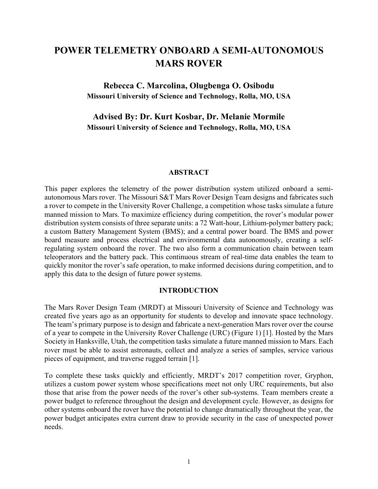# **POWER TELEMETRY ONBOARD A SEMI-AUTONOMOUS MARS ROVER**

**Rebecca C. Marcolina, Olugbenga O. Osibodu Missouri University of Science and Technology, Rolla, MO, USA** 

**Advised By: Dr. Kurt Kosbar, Dr. Melanie Mormile Missouri University of Science and Technology, Rolla, MO, USA** 

#### **ABSTRACT**

This paper explores the telemetry of the power distribution system utilized onboard a semiautonomous Mars rover. The Missouri S&T Mars Rover Design Team designs and fabricates such a rover to compete in the University Rover Challenge, a competition whose tasks simulate a future manned mission to Mars. To maximize efficiency during competition, the rover's modular power distribution system consists of three separate units: a 72 Watt-hour, Lithium-polymer battery pack; a custom Battery Management System (BMS); and a central power board. The BMS and power board measure and process electrical and environmental data autonomously, creating a selfregulating system onboard the rover. The two also form a communication chain between team teleoperators and the battery pack. This continuous stream of real-time data enables the team to quickly monitor the rover's safe operation, to make informed decisions during competition, and to apply this data to the design of future power systems.

#### **INTRODUCTION**

The Mars Rover Design Team (MRDT) at Missouri University of Science and Technology was created five years ago as an opportunity for students to develop and innovate space technology. The team's primary purpose is to design and fabricate a next-generation Mars rover over the course of a year to compete in the University Rover Challenge (URC) (Figure 1) [1]. Hosted by the Mars Society in Hanksville, Utah, the competition tasks simulate a future manned mission to Mars. Each rover must be able to assist astronauts, collect and analyze a series of samples, service various pieces of equipment, and traverse rugged terrain [1].

To complete these tasks quickly and efficiently, MRDT's 2017 competition rover, Gryphon, utilizes a custom power system whose specifications meet not only URC requirements, but also those that arise from the power needs of the rover's other sub-systems. Team members create a power budget to reference throughout the design and development cycle. However, as designs for other systems onboard the rover have the potential to change dramatically throughout the year, the power budget anticipates extra current draw to provide security in the case of unexpected power needs.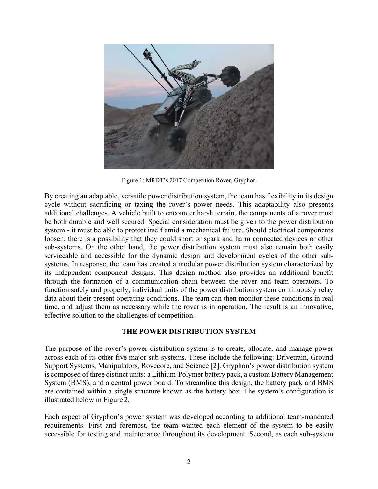

Figure 1: MRDT's 2017 Competition Rover, Gryphon

By creating an adaptable, versatile power distribution system, the team has flexibility in its design cycle without sacrificing or taxing the rover's power needs. This adaptability also presents additional challenges. A vehicle built to encounter harsh terrain, the components of a rover must be both durable and well secured. Special consideration must be given to the power distribution system - it must be able to protect itself amid a mechanical failure. Should electrical components loosen, there is a possibility that they could short or spark and harm connected devices or other sub-systems. On the other hand, the power distribution system must also remain both easily serviceable and accessible for the dynamic design and development cycles of the other subsystems. In response, the team has created a modular power distribution system characterized by its independent component designs. This design method also provides an additional benefit through the formation of a communication chain between the rover and team operators. To function safely and properly, individual units of the power distribution system continuously relay data about their present operating conditions. The team can then monitor these conditions in real time, and adjust them as necessary while the rover is in operation. The result is an innovative, effective solution to the challenges of competition.

# **THE POWER DISTRIBUTION SYSTEM**

The purpose of the rover's power distribution system is to create, allocate, and manage power across each of its other five major sub-systems. These include the following: Drivetrain, Ground Support Systems, Manipulators, Rovecore, and Science [2]. Gryphon's power distribution system is composed of three distinct units: a Lithium-Polymer battery pack, a custom Battery Management System (BMS), and a central power board. To streamline this design, the battery pack and BMS are contained within a single structure known as the battery box. The system's configuration is illustrated below in Figure 2.

Each aspect of Gryphon's power system was developed according to additional team-mandated requirements. First and foremost, the team wanted each element of the system to be easily accessible for testing and maintenance throughout its development. Second, as each sub-system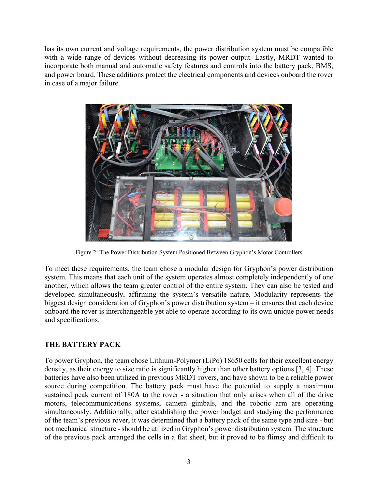has its own current and voltage requirements, the power distribution system must be compatible with a wide range of devices without decreasing its power output. Lastly, MRDT wanted to incorporate both manual and automatic safety features and controls into the battery pack, BMS, and power board. These additions protect the electrical components and devices onboard the rover in case of a major failure.



Figure 2: The Power Distribution System Positioned Between Gryphon's Motor Controllers

To meet these requirements, the team chose a modular design for Gryphon's power distribution system. This means that each unit of the system operates almost completely independently of one another, which allows the team greater control of the entire system. They can also be tested and developed simultaneously, affirming the system's versatile nature. Modularity represents the biggest design consideration of Gryphon's power distribution system – it ensures that each device onboard the rover is interchangeable yet able to operate according to its own unique power needs and specifications.

# **THE BATTERY PACK**

To power Gryphon, the team chose Lithium-Polymer (LiPo) 18650 cells for their excellent energy density, as their energy to size ratio is significantly higher than other battery options [3, 4]. These batteries have also been utilized in previous MRDT rovers, and have shown to be a reliable power source during competition. The battery pack must have the potential to supply a maximum sustained peak current of 180A to the rover - a situation that only arises when all of the drive motors, telecommunications systems, camera gimbals, and the robotic arm are operating simultaneously. Additionally, after establishing the power budget and studying the performance of the team's previous rover, it was determined that a battery pack of the same type and size - but not mechanical structure - should be utilized in Gryphon's power distribution system. The structure of the previous pack arranged the cells in a flat sheet, but it proved to be flimsy and difficult to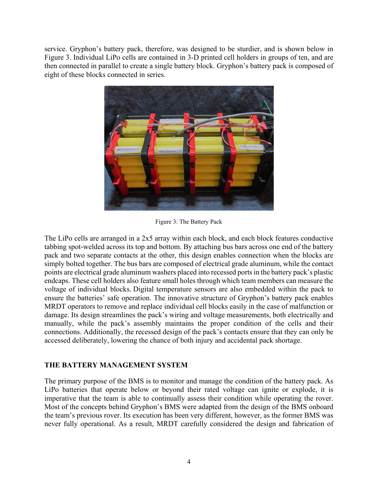service. Gryphon's battery pack, therefore, was designed to be sturdier, and is shown below in Figure 3. Individual LiPo cells are contained in 3-D printed cell holders in groups of ten, and are then connected in parallel to create a single battery block. Gryphon's battery pack is composed of eight of these blocks connected in series.



Figure 3: The Battery Pack

The LiPo cells are arranged in a 2x5 array within each block, and each block features conductive tabbing spot-welded across its top and bottom. By attaching bus bars across one end of the battery pack and two separate contacts at the other, this design enables connection when the blocks are simply bolted together. The bus bars are composed of electrical grade aluminum, while the contact points are electrical grade aluminum washers placed into recessed ports in the battery pack's plastic endcaps. These cell holders also feature small holes through which team members can measure the voltage of individual blocks. Digital temperature sensors are also embedded within the pack to ensure the batteries' safe operation. The innovative structure of Gryphon's battery pack enables MRDT operators to remove and replace individual cell blocks easily in the case of malfunction or damage. Its design streamlines the pack's wiring and voltage measurements, both electrically and manually, while the pack's assembly maintains the proper condition of the cells and their connections. Additionally, the recessed design of the pack's contacts ensure that they can only be accessed deliberately, lowering the chance of both injury and accidental pack shortage.

## **THE BATTERY MANAGEMENT SYSTEM**

The primary purpose of the BMS is to monitor and manage the condition of the battery pack. As LiPo batteries that operate below or beyond their rated voltage can ignite or explode, it is imperative that the team is able to continually assess their condition while operating the rover. Most of the concepts behind Gryphon's BMS were adapted from the design of the BMS onboard the team's previous rover. Its execution has been very different, however, as the former BMS was never fully operational. As a result, MRDT carefully considered the design and fabrication of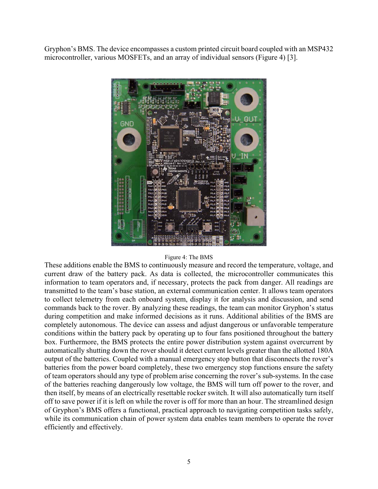Gryphon's BMS. The device encompasses a custom printed circuit board coupled with an MSP432 microcontroller, various MOSFETs, and an array of individual sensors (Figure 4) [3].



#### Figure 4: The BMS

These additions enable the BMS to continuously measure and record the temperature, voltage, and current draw of the battery pack. As data is collected, the microcontroller communicates this information to team operators and, if necessary, protects the pack from danger. All readings are transmitted to the team's base station, an external communication center. It allows team operators to collect telemetry from each onboard system, display it for analysis and discussion, and send commands back to the rover. By analyzing these readings, the team can monitor Gryphon's status during competition and make informed decisions as it runs. Additional abilities of the BMS are completely autonomous. The device can assess and adjust dangerous or unfavorable temperature conditions within the battery pack by operating up to four fans positioned throughout the battery box. Furthermore, the BMS protects the entire power distribution system against overcurrent by automatically shutting down the rover should it detect current levels greater than the allotted 180A output of the batteries. Coupled with a manual emergency stop button that disconnects the rover's batteries from the power board completely, these two emergency stop functions ensure the safety of team operators should any type of problem arise concerning the rover's sub-systems. In the case of the batteries reaching dangerously low voltage, the BMS will turn off power to the rover, and then itself, by means of an electrically resettable rocker switch. It will also automatically turn itself off to save power if it is left on while the rover is off for more than an hour. The streamlined design of Gryphon's BMS offers a functional, practical approach to navigating competition tasks safely, while its communication chain of power system data enables team members to operate the rover efficiently and effectively.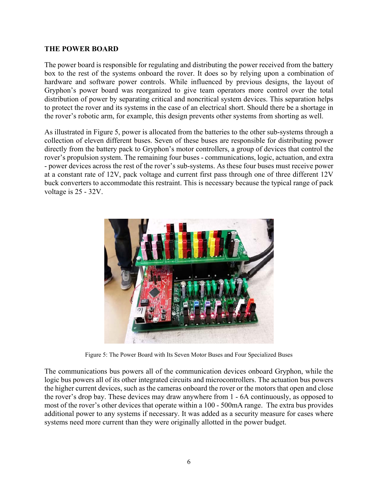#### **THE POWER BOARD**

The power board is responsible for regulating and distributing the power received from the battery box to the rest of the systems onboard the rover. It does so by relying upon a combination of hardware and software power controls. While influenced by previous designs, the layout of Gryphon's power board was reorganized to give team operators more control over the total distribution of power by separating critical and noncritical system devices. This separation helps to protect the rover and its systems in the case of an electrical short. Should there be a shortage in the rover's robotic arm, for example, this design prevents other systems from shorting as well.

As illustrated in Figure 5, power is allocated from the batteries to the other sub-systems through a collection of eleven different buses. Seven of these buses are responsible for distributing power directly from the battery pack to Gryphon's motor controllers, a group of devices that control the rover's propulsion system. The remaining four buses - communications, logic, actuation, and extra - power devices across the rest of the rover's sub-systems. As these four buses must receive power at a constant rate of 12V, pack voltage and current first pass through one of three different 12V buck converters to accommodate this restraint. This is necessary because the typical range of pack voltage is 25 - 32V.



Figure 5: The Power Board with Its Seven Motor Buses and Four Specialized Buses

The communications bus powers all of the communication devices onboard Gryphon, while the logic bus powers all of its other integrated circuits and microcontrollers. The actuation bus powers the higher current devices, such as the cameras onboard the rover or the motors that open and close the rover's drop bay. These devices may draw anywhere from 1 - 6A continuously, as opposed to most of the rover's other devices that operate within a 100 - 500mA range. The extra bus provides additional power to any systems if necessary. It was added as a security measure for cases where systems need more current than they were originally allotted in the power budget.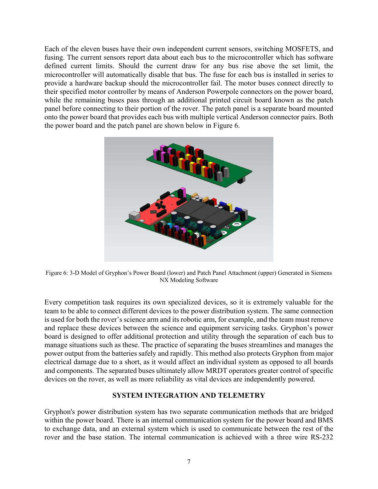Each of the eleven buses have their own independent current sensors, switching MOSFETS, and fusing. The current sensors report data about each bus to the microcontroller which has software defined current limits. Should the current draw for any bus rise above the set limit, the microcontroller will automatically disable that bus. The fuse for each bus is installed in series to provide a hardware backup should the microcontroller fail. The motor buses connect directly to their specified motor controller by means of Anderson Powerpole connectors on the power board, while the remaining buses pass through an additional printed circuit board known as the patch panel before connecting to their portion of the rover. The patch panel is a separate board mounted onto the power board that provides each bus with multiple vertical Anderson connector pairs. Both the power board and the patch panel are shown below in Figure 6.



Figure 6: 3-D Model of Gryphon's Power Board (lower) and Patch Panel Attachment (upper) Generated in Siemens NX Modeling Software

Every competition task requires its own specialized devices, so it is extremely valuable for the team to be able to connect different devices to the power distribution system. The same connection is used for both the rover's science arm and its robotic arm, for example, and the team must remove and replace these devices between the science and equipment servicing tasks. Gryphon's power board is designed to offer additional protection and utility through the separation of each bus to manage situations such as these. The practice of separating the buses streamlines and manages the power output from the batteries safely and rapidly. This method also protects Gryphon from major electrical damage due to a short, as it would affect an individual system as opposed to all boards and components. The separated buses ultimately allow MRDT operators greater control of specific devices on the rover, as well as more reliability as vital devices are independently powered.

## **SYSTEM INTEGRATION AND TELEMETRY**

Gryphon's power distribution system has two separate communication methods that are bridged within the power board. There is an internal communication system for the power board and BMS to exchange data, and an external system which is used to communicate between the rest of the rover and the base station. The internal communication is achieved with a three wire RS-232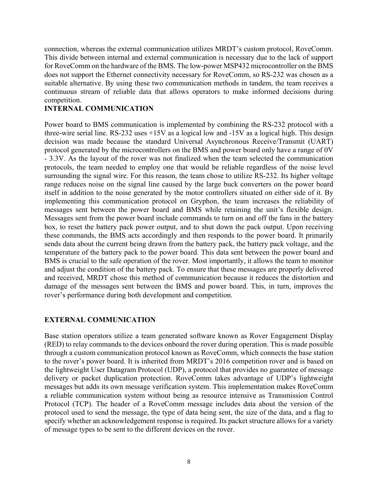connection, whereas the external communication utilizes MRDT's custom protocol, RoveComm. This divide between internal and external communication is necessary due to the lack of support for RoveComm on the hardware of the BMS. The low-power MSP432 microcontroller on the BMS does not support the Ethernet connectivity necessary for RoveComm, so RS-232 was chosen as a suitable alternative. By using these two communication methods in tandem, the team receives a continuous stream of reliable data that allows operators to make informed decisions during competition.

# **INTERNAL COMMUNICATION**

Power board to BMS communication is implemented by combining the RS-232 protocol with a three-wire serial line. RS-232 uses +15V as a logical low and -15V as a logical high. This design decision was made because the standard Universal Asynchronous Receive/Transmit (UART) protocol generated by the microcontrollers on the BMS and power board only have a range of 0V - 3.3V. As the layout of the rover was not finalized when the team selected the communication protocols, the team needed to employ one that would be reliable regardless of the noise level surrounding the signal wire. For this reason, the team chose to utilize RS-232. Its higher voltage range reduces noise on the signal line caused by the large buck converters on the power board itself in addition to the noise generated by the motor controllers situated on either side of it. By implementing this communication protocol on Gryphon, the team increases the reliability of messages sent between the power board and BMS while retaining the unit's flexible design. Messages sent from the power board include commands to turn on and off the fans in the battery box, to reset the battery pack power output, and to shut down the pack output. Upon receiving these commands, the BMS acts accordingly and then responds to the power board. It primarily sends data about the current being drawn from the battery pack, the battery pack voltage, and the temperature of the battery pack to the power board. This data sent between the power board and BMS is crucial to the safe operation of the rover. Most importantly, it allows the team to monitor and adjust the condition of the battery pack. To ensure that these messages are properly delivered and received, MRDT chose this method of communication because it reduces the distortion and damage of the messages sent between the BMS and power board. This, in turn, improves the rover's performance during both development and competition.

# **EXTERNAL COMMUNICATION**

Base station operators utilize a team generated software known as Rover Engagement Display (RED) to relay commands to the devices onboard the rover during operation. This is made possible through a custom communication protocol known as RoveComm, which connects the base station to the rover's power board. It is inherited from MRDT's 2016 competition rover and is based on the lightweight User Datagram Protocol (UDP), a protocol that provides no guarantee of message delivery or packet duplication protection. RoveComm takes advantage of UDP's lightweight messages but adds its own message verification system. This implementation makes RoveComm a reliable communication system without being as resource intensive as Transmission Control Protocol (TCP). The header of a RoveComm message includes data about the version of the protocol used to send the message, the type of data being sent, the size of the data, and a flag to specify whether an acknowledgement response is required. Its packet structure allows for a variety of message types to be sent to the different devices on the rover.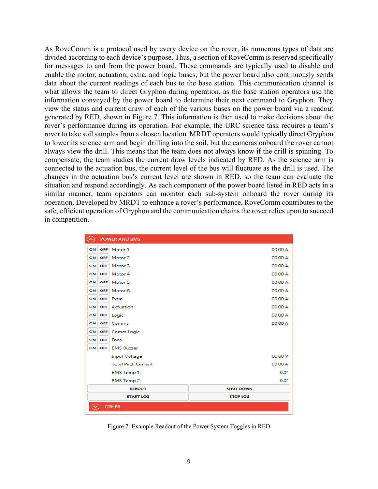As RoveComm is a protocol used by every device on the rover, its numerous types of data are divided according to each device's purpose. Thus, a section of RoveComm is reserved specifically for messages to and from the power board. These commands are typically used to disable and enable the motor, actuation, extra, and logic buses, but the power board also continuously sends data about the current readings of each bus to the base station. This communication channel is what allows the team to direct Gryphon during operation, as the base station operators use the information conveyed by the power board to determine their next command to Gryphon. They view the status and current draw of each of the various buses on the power board via a readout generated by RED, shown in Figure 7. This information is then used to make decisions about the rover's performance during its operation. For example, the URC science task requires a team's rover to take soil samples from a chosen location. MRDT operators would typically direct Gryphon to lower its science arm and begin drilling into the soil, but the cameras onboard the rover cannot always view the drill. This means that the team does not always know if the drill is spinning. To compensate, the team studies the current draw levels indicated by RED. As the science arm is connected to the actuation bus, the current level of the bus will fluctuate as the drill is used. The changes in the actuation bus's current level are shown in RED, so the team can evaluate the situation and respond accordingly. As each component of the power board listed in RED acts in a similar manner, team operators can monitor each sub-system onboard the rover during its operation. Developed by MRDT to enhance a rover's performance, RoveComm contributes to the safe, efficient operation of Gryphon and the communication chains the rover relies upon to succeed in competition.

| <b>POWER AND BMS</b><br>$\blacktriangleright$ |                   |                           |                  |
|-----------------------------------------------|-------------------|---------------------------|------------------|
| ON                                            | <b>OFF</b>        | Motor 1                   | 00.00 A          |
| ON                                            | <b>OFF</b>        | Motor <sub>2</sub>        | 00.00 A          |
| ON                                            | <b>OFF</b>        | Motor 3                   | 00.00 A          |
| ON                                            | OFF               | Motor 4                   | 00.00 A          |
| ON                                            | <b>OFF</b>        | Motor 5                   | 00.00 A          |
| ON                                            | <b>OFF</b>        | Motor <sub>6</sub>        | 00.00 A          |
| ON                                            | <b>OFF</b>        | Extra                     | 00.00 A          |
| ON                                            | <b>OFF</b>        | Actuation                 | 00.00 A          |
| ON                                            | <b>OFF</b>        | Logic                     | 00.00 A          |
| ON                                            | <b>OFF</b>        | Comms                     | 00.00 A          |
| ON                                            | <b>OFF</b>        | Comm Logic                |                  |
| ON                                            | <b>OFF</b>        | Fans                      |                  |
|                                               | ON OFF            | <b>BMS Buzzer</b>         |                  |
|                                               |                   | <b>Input Voltage</b>      | 00.00 V          |
|                                               |                   | <b>Total Pack Current</b> | 00.00 A          |
| <b>BMS Temp 1</b>                             |                   |                           | $0.0^\circ$      |
|                                               | <b>BMS Temp 2</b> |                           | $0.0^\circ$      |
|                                               |                   | <b>REBOOT</b>             | <b>SHUT DOWN</b> |
|                                               |                   | <b>START LOG</b>          | <b>STOP LOG</b>  |
| <b>OTHER</b>                                  |                   |                           |                  |

Figure 7: Example Readout of the Power System Toggles in RED